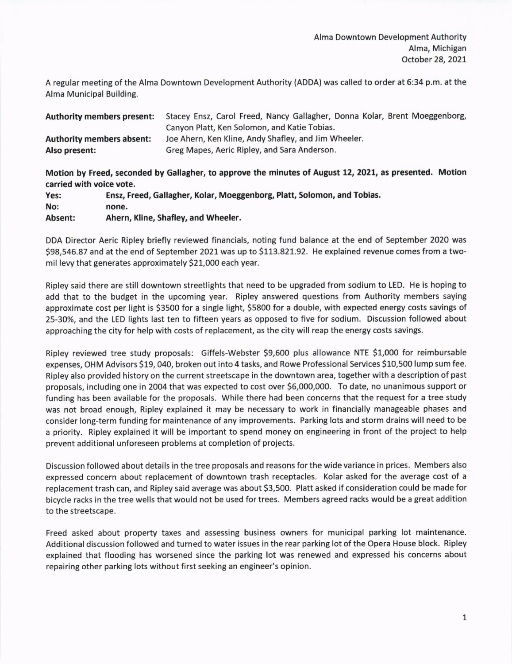A regular meeting of the Alma Oowntown Development Authority (ADDA) was called to order at 6:34 p.m. at the Alma Municipal Building.

| <b>Authority members present:</b> | Stacey Ensz, Carol Freed, Nancy Gallagher, Donna Kolar, Brent Moeggenborg, |
|-----------------------------------|----------------------------------------------------------------------------|
|                                   | Canyon Platt, Ken Solomon, and Katie Tobias.                               |
| <b>Authority members absent:</b>  | Joe Ahern, Ken Kline, Andy Shafley, and Jim Wheeler.                       |
| Also present:                     | Greg Mapes, Aeric Ripley, and Sara Anderson.                               |

Motion by Freed, seconded by Gallagher, to approve the minutes of August L2,2021, as presented. Motlon carried with voice vote.

Yes: Ensz, Freed, Gallagher, Kolar, Moeggenborg, Platt, Solomon, and Tobias. No: none. Absent: Ahern, Kline, Shafley, and Wheeler.

DDA Director Aeric Ripley briefly reviewed financials, noting fund balance at the end of September 2020 was 598,546.87 and at the end of September 2021 was up to 5113.821.92. He explained revenue comes from a twomil levy that generates approximately 521,000 each year.

Ripley said there are still downtown streetlights that need to be upgraded from sodium to LED. He is hoping to add that to the budget in the upcoming year. Ripley answered questions from Authority members saying approximate cost per light is 53500 for a single light, 55800 for a double, with expected energy costs savings of 25-30%, and the LED lights last ten to fifteen years as opposed to five for sodium. Discussion followed about approaching the city for help with costs of replacement, as the city will reap the energy costs savings.

Ripley reviewed tree study proposals: Giffels-Webster \$9,600 plus allowance NTE \$1,000 for reimbursable expenses, OHM Advisors S19, o4o, broken out into 4 tasks, and Rowe Professional Services 510,500 lump sum fee. Ripley also provided history on the current streetscape in the downtown area, together with a description of past proposals, including one in 2004 that was expected to cost over 55,000,000. To date, no unanimous support or funding has been available for the proposals. While there had been concerns that the request for a tree study was not broad enough, Ripley explained it may be necessary to work in financially manageable phases and consider long-term funding for maintenance of any improvements. Parking lots and storm drains will need to be a priority. Ripley explained it will be important to spend money on engineering in front of the project to help prevent additional unforeseen problems at completion of projects.

Discussion followed about details in the tree proposals and reasons for the wide variance in prices. Members also expressed concern about replacement of downtown trash receptacles. Kolar asked for the average cost of <sup>a</sup> replacement trash can, and Ripley said average was about 53,500. Platt asked if consideration could be made for bicycle racks in the tree wells that would not be used for trees. Members agreed racks would be a great addition to the streetscape.

Freed asked about property taxes and assessing business owners for municipal parking lot maintenance. Additional discussion followed and turned to water issues in the rear parking lot of the Opera House block. Ripley explained that flooding has worsened since the parking lot was renewed and expressed his concerns about repairing other parking lots without first seeking an engineer's opinion.